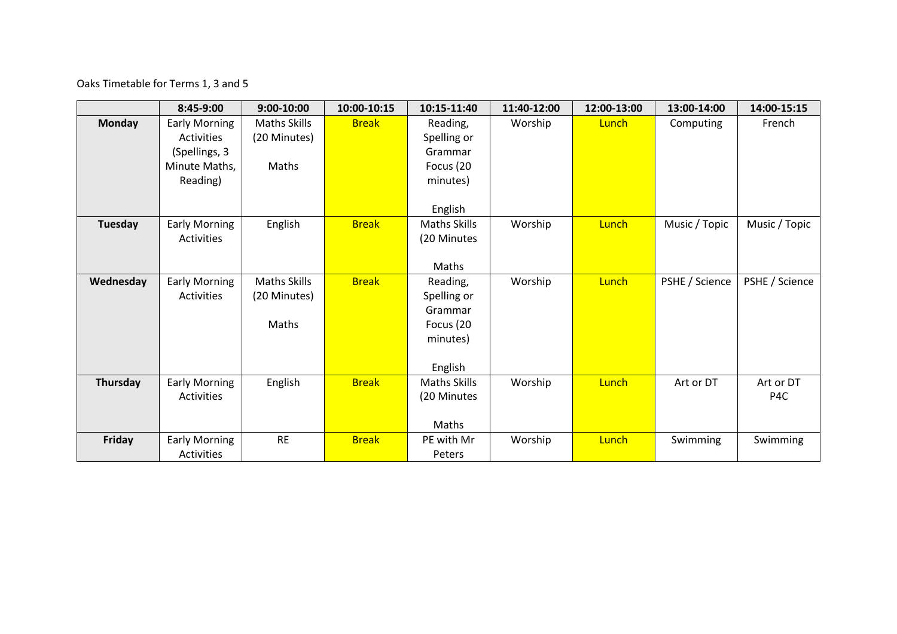Oaks Timetable for Terms 1, 3 and 5

|               | 8:45-9:00            | 9:00-10:00          | 10:00-10:15  | 10:15-11:40         | 11:40-12:00 | 12:00-13:00 | 13:00-14:00    | 14:00-15:15    |
|---------------|----------------------|---------------------|--------------|---------------------|-------------|-------------|----------------|----------------|
| <b>Monday</b> | Early Morning        | Maths Skills        | <b>Break</b> | Reading,            | Worship     | Lunch       | Computing      | French         |
|               | Activities           | (20 Minutes)        |              | Spelling or         |             |             |                |                |
|               | (Spellings, 3        |                     |              | Grammar             |             |             |                |                |
|               | Minute Maths,        | Maths               |              | Focus (20           |             |             |                |                |
|               | Reading)             |                     |              | minutes)            |             |             |                |                |
|               |                      |                     |              |                     |             |             |                |                |
|               |                      |                     |              | English             |             |             |                |                |
| Tuesday       | <b>Early Morning</b> | English             | <b>Break</b> | <b>Maths Skills</b> | Worship     | Lunch       | Music / Topic  | Music / Topic  |
|               | <b>Activities</b>    |                     |              | (20 Minutes         |             |             |                |                |
|               |                      |                     |              |                     |             |             |                |                |
|               |                      |                     |              | Maths               |             |             |                |                |
| Wednesday     | <b>Early Morning</b> | <b>Maths Skills</b> | <b>Break</b> | Reading,            | Worship     | Lunch       | PSHE / Science | PSHE / Science |
|               | Activities           | (20 Minutes)        |              | Spelling or         |             |             |                |                |
|               |                      |                     |              | Grammar             |             |             |                |                |
|               |                      | Maths               |              | Focus (20           |             |             |                |                |
|               |                      |                     |              | minutes)            |             |             |                |                |
|               |                      |                     |              |                     |             |             |                |                |
|               |                      |                     |              | English             |             |             |                |                |
| Thursday      | <b>Early Morning</b> | English             | <b>Break</b> | <b>Maths Skills</b> | Worship     | Lunch       | Art or DT      | Art or DT      |
|               | Activities           |                     |              | (20 Minutes         |             |             |                | P4C            |
|               |                      |                     |              |                     |             |             |                |                |
|               |                      |                     |              | Maths               |             |             |                |                |
| Friday        | <b>Early Morning</b> | <b>RE</b>           | <b>Break</b> | PE with Mr          | Worship     | Lunch       | Swimming       | Swimming       |
|               | Activities           |                     |              | Peters              |             |             |                |                |